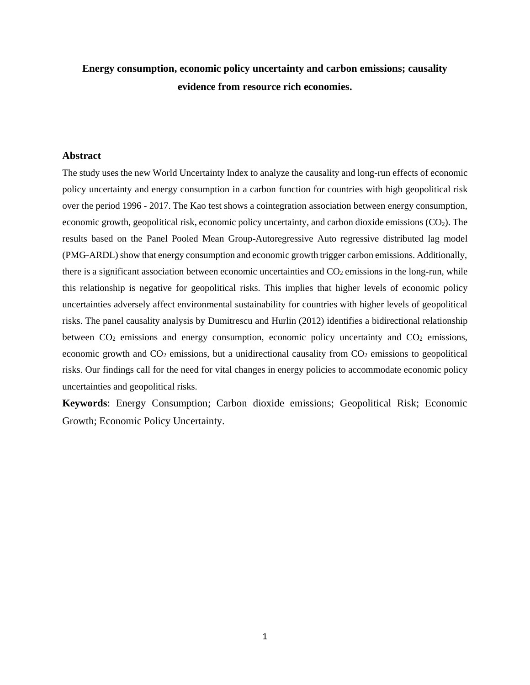# **Energy consumption, economic policy uncertainty and carbon emissions; causality evidence from resource rich economies.**

#### **Abstract**

The study uses the new World Uncertainty Index to analyze the causality and long-run effects of economic policy uncertainty and energy consumption in a carbon function for countries with high geopolitical risk over the period 1996 - 2017. The Kao test shows a cointegration association between energy consumption, economic growth, geopolitical risk, economic policy uncertainty, and carbon dioxide emissions (CO2). The results based on the Panel Pooled Mean Group-Autoregressive Auto regressive distributed lag model (PMG-ARDL) show that energy consumption and economic growth trigger carbon emissions. Additionally, there is a significant association between economic uncertainties and  $CO<sub>2</sub>$  emissions in the long-run, while this relationship is negative for geopolitical risks. This implies that higher levels of economic policy uncertainties adversely affect environmental sustainability for countries with higher levels of geopolitical risks. The panel causality analysis by Dumitrescu and Hurlin (2012) identifies a bidirectional relationship between  $CO<sub>2</sub>$  emissions and energy consumption, economic policy uncertainty and  $CO<sub>2</sub>$  emissions, economic growth and  $CO_2$  emissions, but a unidirectional causality from  $CO_2$  emissions to geopolitical risks. Our findings call for the need for vital changes in energy policies to accommodate economic policy uncertainties and geopolitical risks.

**Keywords**: Energy Consumption; Carbon dioxide emissions; Geopolitical Risk; Economic Growth; Economic Policy Uncertainty.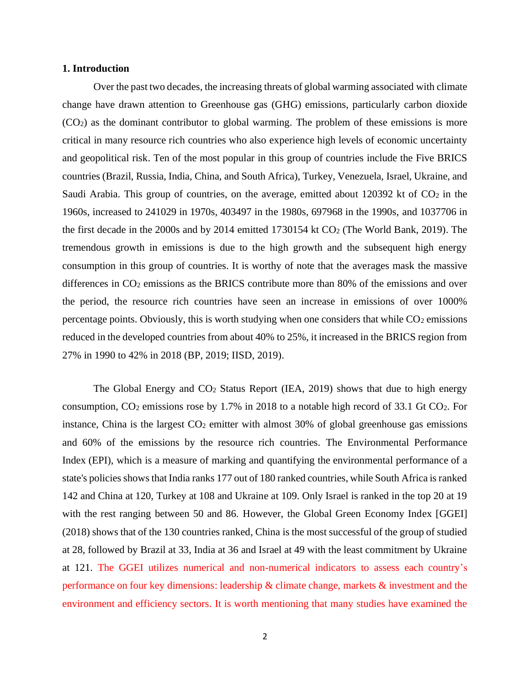### **1. Introduction**

Over the past two decades, the increasing threats of global warming associated with climate change have drawn attention to Greenhouse gas (GHG) emissions, particularly carbon dioxide (CO2) as the dominant contributor to global warming. The problem of these emissions is more critical in many resource rich countries who also experience high levels of economic uncertainty and geopolitical risk. Ten of the most popular in this group of countries include the Five BRICS countries (Brazil, Russia, India, China, and South Africa), Turkey, Venezuela, Israel, Ukraine, and Saudi Arabia. This group of countries, on the average, emitted about  $120392$  kt of  $CO<sub>2</sub>$  in the 1960s, increased to 241029 in 1970s, 403497 in the 1980s, 697968 in the 1990s, and 1037706 in the first decade in the 2000s and by 2014 emitted 1730154 kt CO<sup>2</sup> (The World Bank, 2019). The tremendous growth in emissions is due to the high growth and the subsequent high energy consumption in this group of countries. It is worthy of note that the averages mask the massive differences in CO<sub>2</sub> emissions as the BRICS contribute more than 80% of the emissions and over the period, the resource rich countries have seen an increase in emissions of over 1000% percentage points. Obviously, this is worth studying when one considers that while  $CO<sub>2</sub>$  emissions reduced in the developed countries from about 40% to 25%, it increased in the BRICS region from 27% in 1990 to 42% in 2018 (BP, 2019; IISD, 2019).

The Global Energy and  $CO<sub>2</sub>$  Status Report (IEA, 2019) shows that due to high energy consumption, CO<sup>2</sup> emissions rose by 1.7% in 2018 to a notable high record of 33.1 Gt CO2. For instance, China is the largest  $CO<sub>2</sub>$  emitter with almost 30% of global greenhouse gas emissions and 60% of the emissions by the resource rich countries. The Environmental Performance Index (EPI), which is a measure of marking and quantifying the environmental performance of a state's policies showsthat India ranks 177 out of 180 ranked countries, while South Africa is ranked 142 and China at 120, Turkey at 108 and Ukraine at 109. Only Israel is ranked in the top 20 at 19 with the rest ranging between 50 and 86. However, the Global Green Economy Index [GGEI] (2018) shows that of the 130 countries ranked, China is the most successful of the group of studied at 28, followed by Brazil at 33, India at 36 and Israel at 49 with the least commitment by Ukraine at 121. The GGEI utilizes numerical and non-numerical indicators to assess each country's performance on four key dimensions: leadership & climate change, markets & investment and the environment and efficiency sectors. It is worth mentioning that many studies have examined the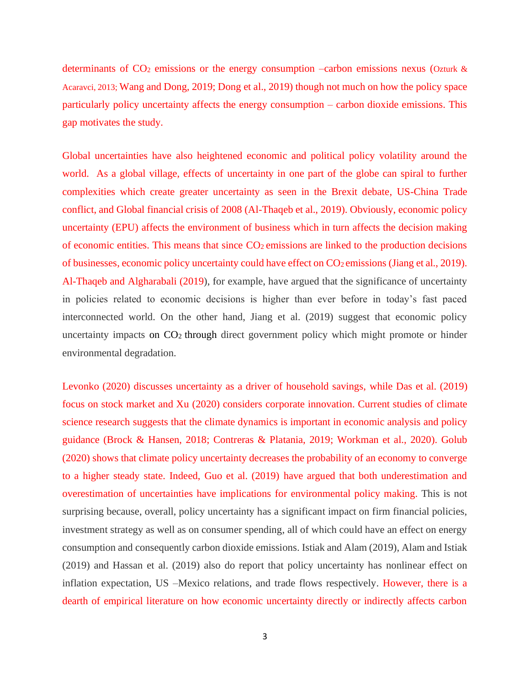determinants of  $CO<sub>2</sub>$  emissions or the energy consumption –carbon emissions nexus (Ozturk & Acaravci, 2013; Wang and Dong, 2019; Dong et al., 2019) though not much on how the policy space particularly policy uncertainty affects the energy consumption – carbon dioxide emissions. This gap motivates the study.

Global uncertainties have also heightened economic and political policy volatility around the world. As a global village, effects of uncertainty in one part of the globe can spiral to further complexities which create greater uncertainty as seen in the Brexit debate, US-China Trade conflict, and Global financial crisis of 2008 (Al-Thaqeb et al., 2019). Obviously, economic policy uncertainty (EPU) affects the environment of business which in turn affects the decision making of economic entities. This means that since CO<sup>2</sup> emissions are linked to the production decisions of businesses, economic policy uncertainty could have effect on  $CO_2$  emissions (Jiang et al., 2019). Al-Thaqeb and Algharabali (2019), for example, have argued that the significance of uncertainty in policies related to economic decisions is higher than ever before in today's fast paced interconnected world. On the other hand, Jiang et al. (2019) suggest that economic policy uncertainty impacts on CO<sub>2</sub> through direct government policy which might promote or hinder environmental degradation.

Levonko (2020) discusses uncertainty as a driver of household savings, while Das et al. (2019) focus on stock market and Xu (2020) considers corporate innovation. Current studies of climate science research suggests that the climate dynamics is important in economic analysis and policy guidance (Brock & Hansen, 2018; Contreras & Platania, 2019; Workman et al., 2020). Golub (2020) shows that climate policy uncertainty decreases the probability of an economy to converge to a higher steady state. Indeed, Guo et al. (2019) have argued that both underestimation and overestimation of uncertainties have implications for environmental policy making. This is not surprising because, overall, policy uncertainty has a significant impact on firm financial policies, investment strategy as well as on consumer spending, all of which could have an effect on energy consumption and consequently carbon dioxide emissions. Istiak and Alam (2019), Alam and Istiak (2019) and Hassan et al. (2019) also do report that policy uncertainty has nonlinear effect on inflation expectation, US –Mexico relations, and trade flows respectively. However, there is a dearth of empirical literature on how economic uncertainty directly or indirectly affects carbon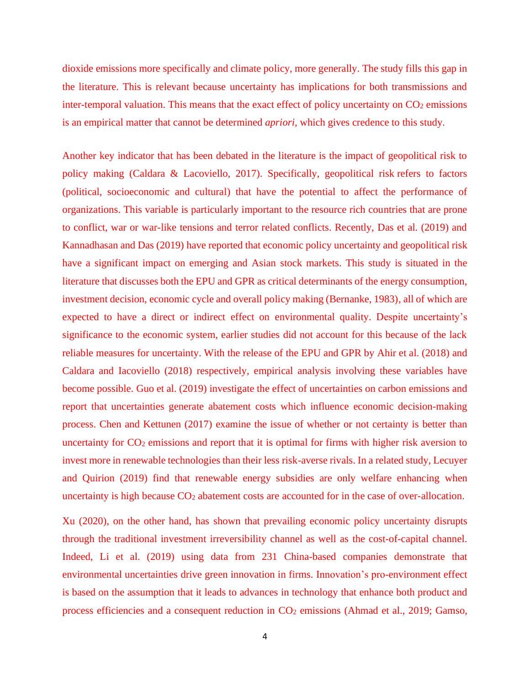dioxide emissions more specifically and climate policy, more generally. The study fills this gap in the literature. This is relevant because uncertainty has implications for both transmissions and inter-temporal valuation. This means that the exact effect of policy uncertainty on  $CO<sub>2</sub>$  emissions is an empirical matter that cannot be determined *apriori,* which gives credence to this study.

Another key indicator that has been debated in the literature is the impact of geopolitical risk to policy making (Caldara & Lacoviello, 2017). Specifically, geopolitical risk refers to factors (political, socioeconomic and cultural) that have the potential to affect the performance of organizations. This variable is particularly important to the resource rich countries that are prone to conflict, war or war-like tensions and terror related conflicts. Recently, Das et al. (2019) and Kannadhasan and Das (2019) have reported that economic policy uncertainty and geopolitical risk have a significant impact on emerging and Asian stock markets. This study is situated in the literature that discusses both the EPU and GPR as critical determinants of the energy consumption, investment decision, economic cycle and overall policy making (Bernanke, 1983), all of which are expected to have a direct or indirect effect on environmental quality. Despite uncertainty's significance to the economic system, earlier studies did not account for this because of the lack reliable measures for uncertainty. With the release of the EPU and GPR by Ahir et al. (2018) and Caldara and Iacoviello (2018) respectively, empirical analysis involving these variables have become possible. Guo et al. (2019) investigate the effect of uncertainties on carbon emissions and report that uncertainties generate abatement costs which influence economic decision-making process. Chen and Kettunen (2017) examine the issue of whether or not certainty is better than uncertainty for  $CO<sub>2</sub>$  emissions and report that it is optimal for firms with higher risk aversion to invest more in renewable technologies than their less risk-averse rivals. In a related study, Lecuyer and Quirion (2019) find that renewable energy subsidies are only welfare enhancing when uncertainty is high because CO<sub>2</sub> abatement costs are accounted for in the case of over-allocation.

Xu (2020), on the other hand, has shown that prevailing economic policy uncertainty disrupts through the traditional investment irreversibility channel as well as the cost-of-capital channel. Indeed, Li et al. (2019) using data from 231 China-based companies demonstrate that environmental uncertainties drive green innovation in firms. Innovation's pro-environment effect is based on the assumption that it leads to advances in technology that enhance both product and process efficiencies and a consequent reduction in CO<sup>2</sup> emissions (Ahmad et al., 2019; Gamso,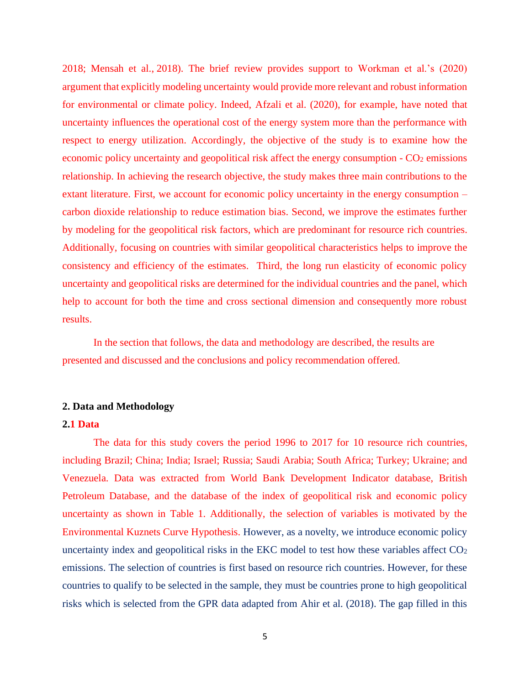2018; Mensah et al., [2018\)](https://www.tandfonline.com/doi/full/10.1080/10438599.2019.1684643?casa_token=NOTi1GibQGIAAAAA:Xs22VvNr0JU7WdFXaJ0_VIyrOTOMa67HQBUGugycIPTPC-PtVrQunfG0zRrwoNy5DmG6hGnk1isX7Dw). The brief review provides support to Workman et al.'s (2020) argument that explicitly modeling uncertainty would provide more relevant and robust information for environmental or climate policy. Indeed, Afzali et al. (2020), for example, have noted that uncertainty influences the operational cost of the energy system more than the performance with respect to energy utilization. Accordingly, the objective of the study is to examine how the economic policy uncertainty and geopolitical risk affect the energy consumption - CO<sub>2</sub> emissions relationship. In achieving the research objective, the study makes three main contributions to the extant literature. First, we account for economic policy uncertainty in the energy consumption – carbon dioxide relationship to reduce estimation bias. Second, we improve the estimates further by modeling for the geopolitical risk factors, which are predominant for resource rich countries. Additionally, focusing on countries with similar geopolitical characteristics helps to improve the consistency and efficiency of the estimates. Third, the long run elasticity of economic policy uncertainty and geopolitical risks are determined for the individual countries and the panel, which help to account for both the time and cross sectional dimension and consequently more robust results.

In the section that follows, the data and methodology are described, the results are presented and discussed and the conclusions and policy recommendation offered.

#### **2. Data and Methodology**

### **2.1 Data**

The data for this study covers the period 1996 to 2017 for 10 resource rich countries, including Brazil; China; India; Israel; Russia; Saudi Arabia; South Africa; Turkey; Ukraine; and Venezuela. Data was extracted from World Bank Development Indicator database, British Petroleum Database, and the database of the index of geopolitical risk and economic policy uncertainty as shown in Table 1. Additionally, the selection of variables is motivated by the Environmental Kuznets Curve Hypothesis. However, as a novelty, we introduce economic policy uncertainty index and geopolitical risks in the EKC model to test how these variables affect CO<sub>2</sub> emissions. The selection of countries is first based on resource rich countries. However, for these countries to qualify to be selected in the sample, they must be countries prone to high geopolitical risks which is selected from the GPR data adapted from Ahir et al. (2018). The gap filled in this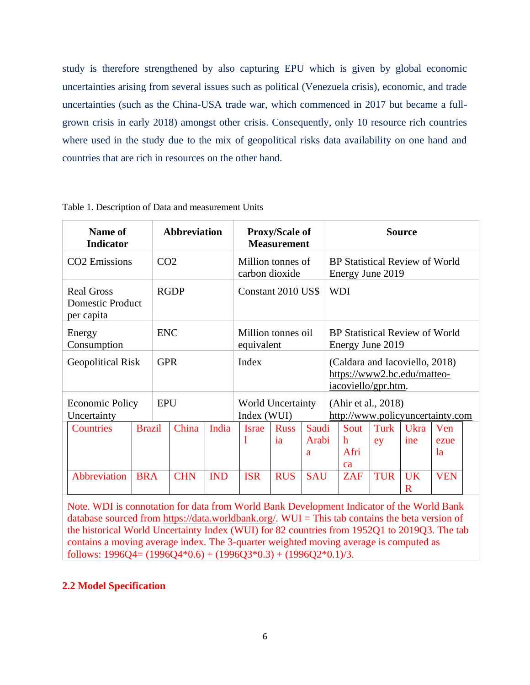study is therefore strengthened by also capturing EPU which is given by global economic uncertainties arising from several issues such as political (Venezuela crisis), economic, and trade uncertainties (such as the China-USA trade war, which commenced in 2017 but became a fullgrown crisis in early 2018) amongst other crisis. Consequently, only 10 resource rich countries where used in the study due to the mix of geopolitical risks data availability on one hand and countries that are rich in resources on the other hand.

| Name of<br><b>Indicator</b>                                |               |                 | <b>Abbreviation</b> |                                     |                                         | <b>Proxy/Scale of</b><br><b>Measurement</b>               |                     |                                                         |                         |                     | <b>Source</b>                                                 |                   |  |
|------------------------------------------------------------|---------------|-----------------|---------------------|-------------------------------------|-----------------------------------------|-----------------------------------------------------------|---------------------|---------------------------------------------------------|-------------------------|---------------------|---------------------------------------------------------------|-------------------|--|
| CO2 Emissions                                              |               | CO <sub>2</sub> |                     | Million tonnes of<br>carbon dioxide |                                         | <b>BP</b> Statistical Review of World<br>Energy June 2019 |                     |                                                         |                         |                     |                                                               |                   |  |
| <b>Real Gross</b><br><b>Domestic Product</b><br>per capita |               |                 | <b>RGDP</b>         |                                     | Constant 2010 US\$                      |                                                           |                     | <b>WDI</b>                                              |                         |                     |                                                               |                   |  |
| Energy<br>Consumption                                      |               | <b>ENC</b>      |                     |                                     | Million tonnes oil<br>equivalent        |                                                           |                     |                                                         |                         | Energy June 2019    | BP Statistical Review of World                                |                   |  |
| <b>Geopolitical Risk</b>                                   |               | <b>GPR</b>      |                     |                                     | Index                                   |                                                           |                     |                                                         |                         | iacoviello/gpr.htm. | (Caldara and Iacoviello, 2018)<br>https://www2.bc.edu/matteo- |                   |  |
| <b>Economic Policy</b><br>Uncertainty                      |               | <b>EPU</b>      |                     |                                     | <b>World Uncertainty</b><br>Index (WUI) |                                                           |                     | (Ahir et al., 2018)<br>http://www.policyuncertainty.com |                         |                     |                                                               |                   |  |
| <b>Countries</b>                                           | <b>Brazil</b> |                 | China               | India                               | <b>Israe</b><br>1                       | <b>Russ</b><br><i>ia</i>                                  | Saudi<br>Arabi<br>a |                                                         | Sout<br>h<br>Afri<br>ca | Turk<br>ey          | Ukra<br>ine                                                   | Ven<br>ezue<br>1a |  |
| Abbreviation                                               | <b>BRA</b>    |                 | <b>CHN</b>          | <b>IND</b>                          | <b>ISR</b>                              | <b>RUS</b>                                                | <b>SAU</b>          |                                                         | <b>ZAF</b>              | <b>TUR</b>          | <b>UK</b><br>$\mathbf R$                                      | <b>VEN</b>        |  |

Table 1. Description of Data and measurement Units

Note. WDI is connotation for data from World Bank Development Indicator of the World Bank database sourced from [https://data.worldbank.org/.](https://data.worldbank.org/) WUI = This tab contains the beta version of the historical World Uncertainty Index (WUI) for 82 countries from 1952Q1 to 2019Q3. The tab contains a moving average index. The 3-quarter weighted moving average is computed as follows:  $1996Q4 = (1996Q4*0.6) + (1996Q3*0.3) + (1996Q2*0.1)/3.$ 

## **2.2 Model Specification**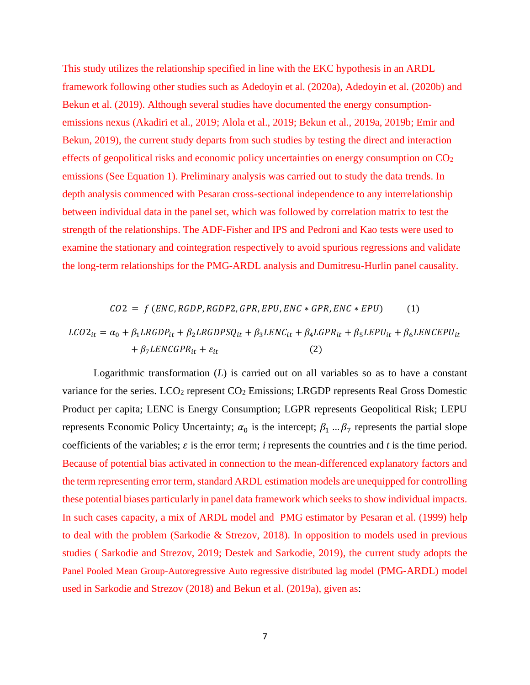This study utilizes the relationship specified in line with the EKC hypothesis in an ARDL framework following other studies such as Adedoyin et al. (2020a), Adedoyin et al. (2020b) and Bekun et al. (2019). Although several studies have documented the energy consumptionemissions nexus (Akadiri et al., 2019; Alola et al., 2019; Bekun et al., 2019a, 2019b; Emir and Bekun, 2019), the current study departs from such studies by testing the direct and interaction effects of geopolitical risks and economic policy uncertainties on energy consumption on CO<sup>2</sup> emissions (See Equation 1). Preliminary analysis was carried out to study the data trends. In depth analysis commenced with Pesaran cross-sectional independence to any interrelationship between individual data in the panel set, which was followed by correlation matrix to test the strength of the relationships. The ADF-Fisher and IPS and Pedroni and Kao tests were used to examine the stationary and cointegration respectively to avoid spurious regressions and validate the long-term relationships for the PMG-ARDL analysis and Dumitresu-Hurlin panel causality.

$$
CO2 = f (ENC, RGDP, RGDP2, GPR, EPU, ENC * GPR, ENC * EPU)
$$
 (1)  
\n
$$
LCO2_{it} = \alpha_0 + \beta_1 LRGDP_{it} + \beta_2 LRGDPSQ_{it} + \beta_3 LENC_{it} + \beta_4 LGPR_{it} + \beta_5 LEPU_{it} + \beta_6 LENCEPU_{it}
$$
\n
$$
+ \beta_7 LENCGPR_{it} + \varepsilon_{it}
$$
 (2)

Logarithmic transformation (*L*) is carried out on all variables so as to have a constant variance for the series. LCO<sub>2</sub> represent CO<sub>2</sub> Emissions; LRGDP represents Real Gross Domestic Product per capita; LENC is Energy Consumption; LGPR represents Geopolitical Risk; LEPU represents Economic Policy Uncertainty;  $\alpha_0$  is the intercept;  $\beta_1 \dots \beta_7$  represents the partial slope coefficients of the variables;  $\varepsilon$  is the error term; *i* represents the countries and *t* is the time period. Because of potential bias activated in connection to the mean-differenced explanatory factors and the term representing error term, standard ARDL estimation models are unequipped for controlling these potential biases particularly in panel data framework which seeks to show individual impacts. In such cases capacity, a mix of ARDL model and PMG estimator by Pesaran et al. (1999) help to deal with the problem (Sarkodie & Strezov, 2018). In opposition to models used in previous studies ( Sarkodie and Strezov, 2019; Destek and Sarkodie, 2019), the current study adopts the Panel Pooled Mean Group-Autoregressive Auto regressive distributed lag model (PMG-ARDL) model used in Sarkodie and Strezov (2018) and Bekun et al. (2019a), given as: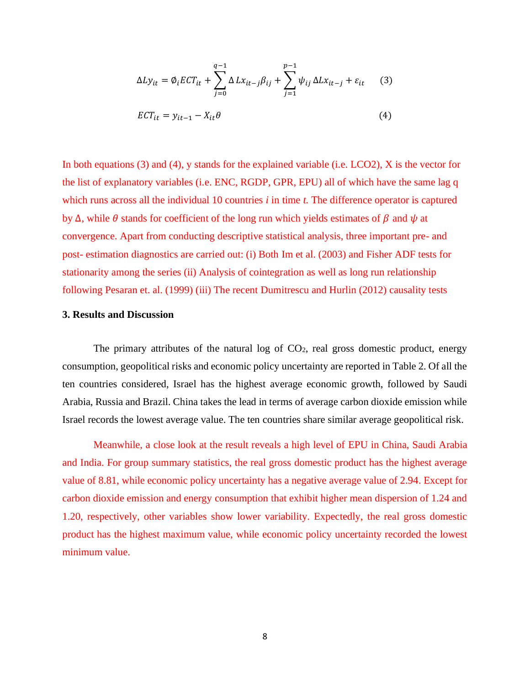$$
\Delta L y_{it} = \emptyset_i E C T_{it} + \sum_{j=0}^{q-1} \Delta L x_{it-j} \beta_{ij} + \sum_{j=1}^{p-1} \psi_{ij} \Delta L x_{it-j} + \varepsilon_{it}
$$
(3)  
 
$$
E C T_{it} = y_{it-1} - X_{it} \theta
$$
(4)

In both equations (3) and (4), y stands for the explained variable (i.e. LCO2), X is the vector for the list of explanatory variables (i.e. ENC, RGDP, GPR, EPU) all of which have the same lag q which runs across all the individual 10 countries *i* in time *t*. The difference operator is captured by Δ, while  $\theta$  stands for coefficient of the long run which yields estimates of  $\beta$  and  $\psi$  at convergence. Apart from conducting descriptive statistical analysis, three important pre- and post- estimation diagnostics are carried out: (i) Both Im et al. (2003) and Fisher ADF tests for stationarity among the series (ii) Analysis of cointegration as well as long run relationship following Pesaran et. al. (1999) (iii) The recent Dumitrescu and Hurlin (2012) causality tests

### **3. Results and Discussion**

The primary attributes of the natural log of  $CO<sub>2</sub>$ , real gross domestic product, energy consumption, geopolitical risks and economic policy uncertainty are reported in Table 2. Of all the ten countries considered, Israel has the highest average economic growth, followed by Saudi Arabia, Russia and Brazil. China takes the lead in terms of average carbon dioxide emission while Israel records the lowest average value. The ten countries share similar average geopolitical risk.

Meanwhile, a close look at the result reveals a high level of EPU in China, Saudi Arabia and India. For group summary statistics, the real gross domestic product has the highest average value of 8.81, while economic policy uncertainty has a negative average value of 2.94. Except for carbon dioxide emission and energy consumption that exhibit higher mean dispersion of 1.24 and 1.20, respectively, other variables show lower variability. Expectedly, the real gross domestic product has the highest maximum value, while economic policy uncertainty recorded the lowest minimum value.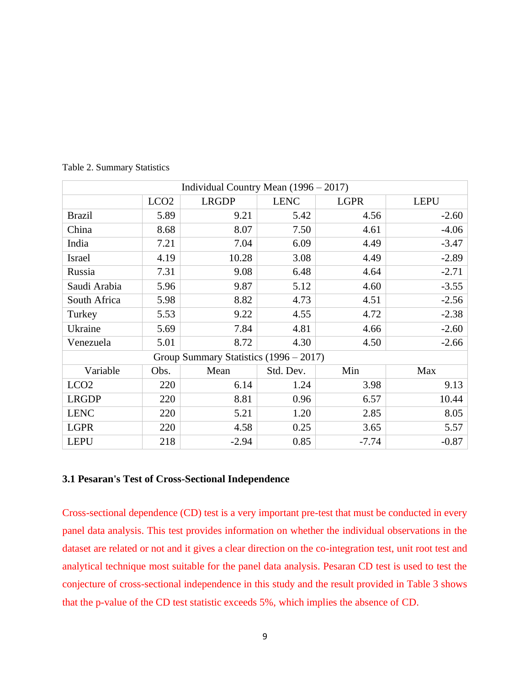| Individual Country Mean $(1996 - 2017)$ |                  |                                          |             |             |             |
|-----------------------------------------|------------------|------------------------------------------|-------------|-------------|-------------|
|                                         | LCO <sub>2</sub> | <b>LRGDP</b>                             | <b>LENC</b> | <b>LGPR</b> | <b>LEPU</b> |
| <b>Brazil</b>                           | 5.89             | 9.21                                     | 5.42        | 4.56        | $-2.60$     |
| China                                   | 8.68             | 8.07                                     | 7.50        | 4.61        | $-4.06$     |
| India                                   | 7.21             | 7.04                                     | 6.09        | 4.49        | $-3.47$     |
| Israel                                  | 4.19             | 10.28                                    | 3.08        | 4.49        | $-2.89$     |
| Russia                                  | 7.31             | 9.08                                     | 6.48        | 4.64        | $-2.71$     |
| Saudi Arabia                            | 5.96             | 9.87                                     | 5.12        | 4.60        | $-3.55$     |
| South Africa                            | 5.98             | 8.82                                     | 4.73        | 4.51        | $-2.56$     |
| Turkey                                  | 5.53             | 9.22                                     | 4.55        | 4.72        | $-2.38$     |
| Ukraine                                 | 5.69             | 7.84                                     | 4.81        | 4.66        | $-2.60$     |
| Venezuela                               | 5.01             | 8.72                                     | 4.30        | 4.50        | $-2.66$     |
|                                         |                  | Group Summary Statistics $(1996 - 2017)$ |             |             |             |
| Variable                                | Obs.             | Mean                                     | Std. Dev.   | Min         | Max         |
| LCO <sub>2</sub>                        | 220              | 6.14                                     | 1.24        | 3.98        | 9.13        |
| <b>LRGDP</b>                            | 220              | 8.81                                     | 0.96        | 6.57        | 10.44       |
| <b>LENC</b>                             | 220              | 5.21                                     | 1.20        | 2.85        | 8.05        |
| <b>LGPR</b>                             | 220              | 4.58                                     | 0.25        | 3.65        | 5.57        |
| <b>LEPU</b>                             | 218              | $-2.94$                                  | 0.85        | $-7.74$     | $-0.87$     |

Table 2. Summary Statistics

### **3.1 Pesaran's Test of Cross-Sectional Independence**

Cross-sectional dependence (CD) test is a very important pre-test that must be conducted in every panel data analysis. This test provides information on whether the individual observations in the dataset are related or not and it gives a clear direction on the co-integration test, unit root test and analytical technique most suitable for the panel data analysis. Pesaran CD test is used to test the conjecture of cross-sectional independence in this study and the result provided in Table 3 shows that the p-value of the CD test statistic exceeds 5%, which implies the absence of CD.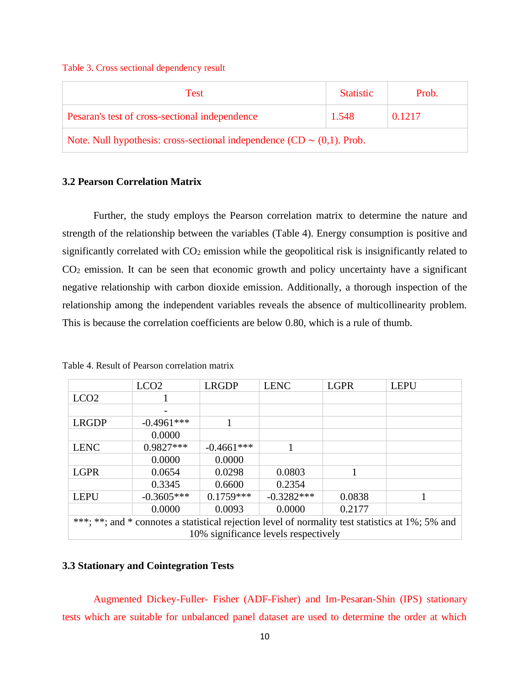#### Table 3. Cross sectional dependency result

| Test                                                                         | <b>Statistic</b> | Prob.  |
|------------------------------------------------------------------------------|------------------|--------|
| Pesaran's test of cross-sectional independence                               | 1.548            | 0.1217 |
| Note. Null hypothesis: cross-sectional independence $(CD \sim (0,1)$ . Prob. |                  |        |

## **3.2 Pearson Correlation Matrix**

Further, the study employs the Pearson correlation matrix to determine the nature and strength of the relationship between the variables (Table 4). Energy consumption is positive and significantly correlated with CO<sub>2</sub> emission while the geopolitical risk is insignificantly related to CO<sup>2</sup> emission. It can be seen that economic growth and policy uncertainty have a significant negative relationship with carbon dioxide emission. Additionally, a thorough inspection of the relationship among the independent variables reveals the absence of multicollinearity problem. This is because the correlation coefficients are below 0.80, which is a rule of thumb.

|                  | LCO <sub>2</sub> | <b>LRGDP</b> | <b>LENC</b>                          | <b>LGPR</b> | <b>LEPU</b>                                                                                      |
|------------------|------------------|--------------|--------------------------------------|-------------|--------------------------------------------------------------------------------------------------|
| LCO <sub>2</sub> |                  |              |                                      |             |                                                                                                  |
|                  |                  |              |                                      |             |                                                                                                  |
| <b>LRGDP</b>     | $-0.4961***$     |              |                                      |             |                                                                                                  |
|                  | 0.0000           |              |                                      |             |                                                                                                  |
| <b>LENC</b>      | $0.9827***$      | $-0.4661***$ |                                      |             |                                                                                                  |
|                  | 0.0000           | 0.0000       |                                      |             |                                                                                                  |
| <b>LGPR</b>      | 0.0654           | 0.0298       | 0.0803                               |             |                                                                                                  |
|                  | 0.3345           | 0.6600       | 0.2354                               |             |                                                                                                  |
| <b>LEPU</b>      | $-0.3605***$     | $0.1759***$  | $-0.3282***$                         | 0.0838      |                                                                                                  |
|                  | 0.0000           | 0.0093       | 0.0000                               | 0.2177      |                                                                                                  |
|                  |                  |              |                                      |             | ***; **; and * connotes a statistical rejection level of normality test statistics at 1%; 5% and |
|                  |                  |              | 10% significance levels respectively |             |                                                                                                  |

Table 4. Result of Pearson correlation matrix

### **3.3 Stationary and Cointegration Tests**

Augmented Dickey-Fuller- Fisher (ADF-Fisher) and Im-Pesaran-Shin (IPS) stationary tests which are suitable for unbalanced panel dataset are used to determine the order at which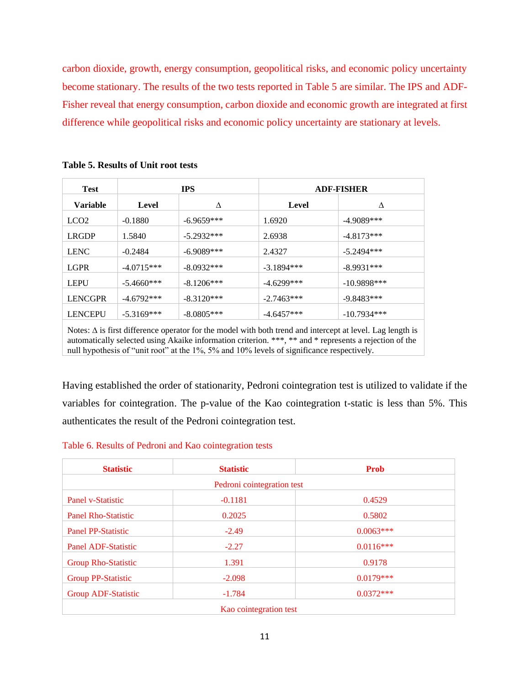carbon dioxide, growth, energy consumption, geopolitical risks, and economic policy uncertainty become stationary. The results of the two tests reported in Table 5 are similar. The IPS and ADF-Fisher reveal that energy consumption, carbon dioxide and economic growth are integrated at first difference while geopolitical risks and economic policy uncertainty are stationary at levels.

| <b>Test</b>      |              | <b>IPS</b>   |              | <b>ADF-FISHER</b> |  |  |
|------------------|--------------|--------------|--------------|-------------------|--|--|
| <b>Variable</b>  | Level        | Δ            | Level        | Δ                 |  |  |
| LCO <sub>2</sub> | $-0.1880$    | $-6.9659***$ | 1.6920       | $-4.9089***$      |  |  |
| <b>LRGDP</b>     | 1.5840       | $-5.2932***$ | 2.6938       | $-4.8173***$      |  |  |
| <b>LENC</b>      | $-0.2484$    | $-6.9089***$ | 2.4327       | $-5.2494***$      |  |  |
| <b>LGPR</b>      | $-4.0715***$ | $-8.0932***$ | $-3.1894***$ | $-8.9931***$      |  |  |
| <b>LEPU</b>      | $-5.4660***$ | $-8.1206***$ | $-4.6299***$ | $-10.9898***$     |  |  |
| <b>LENCGPR</b>   | $-4.6792***$ | $-8.3120***$ | $-2.7463***$ | $-9.8483***$      |  |  |
| <b>LENCEPU</b>   | $-5.3169***$ | $-8.0805***$ | $-4.6457***$ | $-10.7934***$     |  |  |
|                  |              |              |              |                   |  |  |

**Table 5. Results of Unit root tests**

Notes:  $\Delta$  is first difference operator for the model with both trend and intercept at level. Lag length is automatically selected using Akaike information criterion. \*\*\*, \*\* and \* represents a rejection of the null hypothesis of "unit root" at the 1%, 5% and 10% levels of significance respectively.

Having established the order of stationarity, Pedroni cointegration test is utilized to validate if the variables for cointegration. The p-value of the Kao cointegration t-static is less than 5%. This authenticates the result of the Pedroni cointegration test.

|  |  |  |  | Table 6. Results of Pedroni and Kao cointegration tests |  |
|--|--|--|--|---------------------------------------------------------|--|
|--|--|--|--|---------------------------------------------------------|--|

| <b>Statistic</b>           | <b>Statistic</b>           | Prob        |
|----------------------------|----------------------------|-------------|
|                            | Pedroni cointegration test |             |
| <b>Panel v-Statistic</b>   | $-0.1181$                  | 0.4529      |
| <b>Panel Rho-Statistic</b> | 0.2025                     | 0.5802      |
| <b>Panel PP-Statistic</b>  | $-2.49$                    | $0.0063***$ |
| <b>Panel ADF-Statistic</b> | $-2.27$                    | $0.0116***$ |
| <b>Group Rho-Statistic</b> | 1.391                      | 0.9178      |
| <b>Group PP-Statistic</b>  | $-2.098$                   | $0.0179***$ |
| <b>Group ADF-Statistic</b> | $-1.784$                   | $0.0372***$ |
|                            | Kao cointegration test     |             |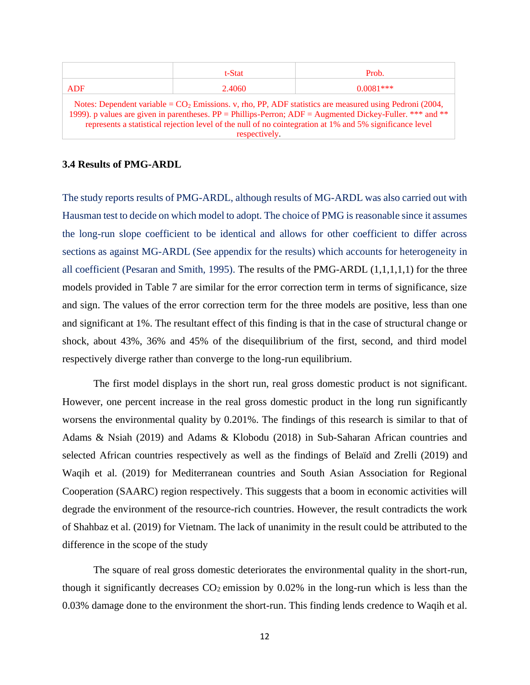|                                                                                                               | t-Stat | Prob.       |  |  |  |  |  |
|---------------------------------------------------------------------------------------------------------------|--------|-------------|--|--|--|--|--|
| <b>ADF</b>                                                                                                    | 2.4060 | $0.0081***$ |  |  |  |  |  |
| Notes: Dependent variable = $CO2$ Emissions. v, rho, PP, ADF statistics are measured using Pedroni (2004,     |        |             |  |  |  |  |  |
| 1999). p values are given in parentheses. $PP =$ Phillips-Perron; $ADE =$ Augmented Dickey-Fuller. *** and ** |        |             |  |  |  |  |  |
| represents a statistical rejection level of the null of no cointegration at 1% and 5% significance level      |        |             |  |  |  |  |  |
| respectively.                                                                                                 |        |             |  |  |  |  |  |

#### **3.4 Results of PMG-ARDL**

The study reports results of PMG-ARDL, although results of MG-ARDL was also carried out with Hausman test to decide on which model to adopt. The choice of PMG is reasonable since it assumes the long-run slope coefficient to be identical and allows for other coefficient to differ across sections as against MG-ARDL (See appendix for the results) which accounts for heterogeneity in all coefficient (Pesaran and Smith, 1995). The results of the PMG-ARDL (1,1,1,1,1) for the three models provided in Table 7 are similar for the error correction term in terms of significance, size and sign. The values of the error correction term for the three models are positive, less than one and significant at 1%. The resultant effect of this finding is that in the case of structural change or shock, about 43%, 36% and 45% of the disequilibrium of the first, second, and third model respectively diverge rather than converge to the long-run equilibrium.

The first model displays in the short run, real gross domestic product is not significant. However, one percent increase in the real gross domestic product in the long run significantly worsens the environmental quality by 0.201%. The findings of this research is similar to that of Adams & Nsiah (2019) and Adams & Klobodu (2018) in Sub-Saharan African countries and selected African countries respectively as well as the findings of Belaïd and Zrelli (2019) and Waqih et al. (2019) for Mediterranean countries and South Asian Association for Regional Cooperation (SAARC) region respectively. This suggests that a boom in economic activities will degrade the environment of the resource-rich countries. However, the result contradicts the work of Shahbaz et al. (2019) for Vietnam. The lack of unanimity in the result could be attributed to the difference in the scope of the study

The square of real gross domestic deteriorates the environmental quality in the short-run, though it significantly decreases  $CO<sub>2</sub>$  emission by 0.02% in the long-run which is less than the 0.03% damage done to the environment the short-run. This finding lends credence to Waqih et al.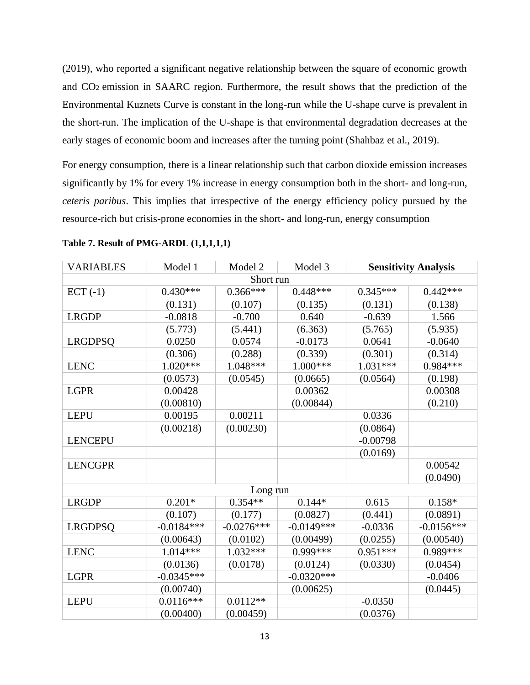(2019), who reported a significant negative relationship between the square of economic growth and CO2 emission in SAARC region. Furthermore, the result shows that the prediction of the Environmental Kuznets Curve is constant in the long-run while the U-shape curve is prevalent in the short-run. The implication of the U-shape is that environmental degradation decreases at the early stages of economic boom and increases after the turning point (Shahbaz et al., 2019).

For energy consumption, there is a linear relationship such that carbon dioxide emission increases significantly by 1% for every 1% increase in energy consumption both in the short- and long-run, *ceteris paribus*. This implies that irrespective of the energy efficiency policy pursued by the resource-rich but crisis-prone economies in the short- and long-run, energy consumption

| <b>VARIABLES</b> | Model 1      | Model 2      | Model 3      |            | <b>Sensitivity Analysis</b> |
|------------------|--------------|--------------|--------------|------------|-----------------------------|
|                  |              | Short run    |              |            |                             |
| $ECT (-1)$       | $0.430***$   | $0.366***$   | $0.448***$   | $0.345***$ | $0.442***$                  |
|                  | (0.131)      | (0.107)      | (0.135)      | (0.131)    | (0.138)                     |
| <b>LRGDP</b>     | $-0.0818$    | $-0.700$     | 0.640        | $-0.639$   | 1.566                       |
|                  | (5.773)      | (5.441)      | (6.363)      | (5.765)    | (5.935)                     |
| <b>LRGDPSQ</b>   | 0.0250       | 0.0574       | $-0.0173$    | 0.0641     | $-0.0640$                   |
|                  | (0.306)      | (0.288)      | (0.339)      | (0.301)    | (0.314)                     |
| <b>LENC</b>      | $1.020***$   | 1.048***     | $1.000***$   | $1.031***$ | 0.984***                    |
|                  | (0.0573)     | (0.0545)     | (0.0665)     | (0.0564)   | (0.198)                     |
| <b>LGPR</b>      | 0.00428      |              | 0.00362      |            | 0.00308                     |
|                  | (0.00810)    |              | (0.00844)    |            | (0.210)                     |
| <b>LEPU</b>      | 0.00195      | 0.00211      |              | 0.0336     |                             |
|                  | (0.00218)    | (0.00230)    |              | (0.0864)   |                             |
| <b>LENCEPU</b>   |              |              |              | $-0.00798$ |                             |
|                  |              |              |              | (0.0169)   |                             |
| <b>LENCGPR</b>   |              |              |              |            | 0.00542                     |
|                  |              |              |              |            | (0.0490)                    |
|                  |              | Long run     |              |            |                             |
| <b>LRGDP</b>     | $0.201*$     | $0.354**$    | $0.144*$     | 0.615      | $0.158*$                    |
|                  | (0.107)      | (0.177)      | (0.0827)     | (0.441)    | (0.0891)                    |
| <b>LRGDPSQ</b>   | $-0.0184***$ | $-0.0276***$ | $-0.0149***$ | $-0.0336$  | $-0.0156***$                |
|                  | (0.00643)    | (0.0102)     | (0.00499)    | (0.0255)   | (0.00540)                   |
| <b>LENC</b>      | 1.014***     | $1.032***$   | $0.999***$   | $0.951***$ | 0.989***                    |
|                  | (0.0136)     | (0.0178)     | (0.0124)     | (0.0330)   | (0.0454)                    |
| <b>LGPR</b>      | $-0.0345***$ |              | $-0.0320***$ |            | $-0.0406$                   |
|                  | (0.00740)    |              | (0.00625)    |            | (0.0445)                    |
| <b>LEPU</b>      | $0.0116***$  | $0.0112**$   |              | $-0.0350$  |                             |
|                  | (0.00400)    | (0.00459)    |              | (0.0376)   |                             |

**Table 7. Result of PMG-ARDL (1,1,1,1,1)**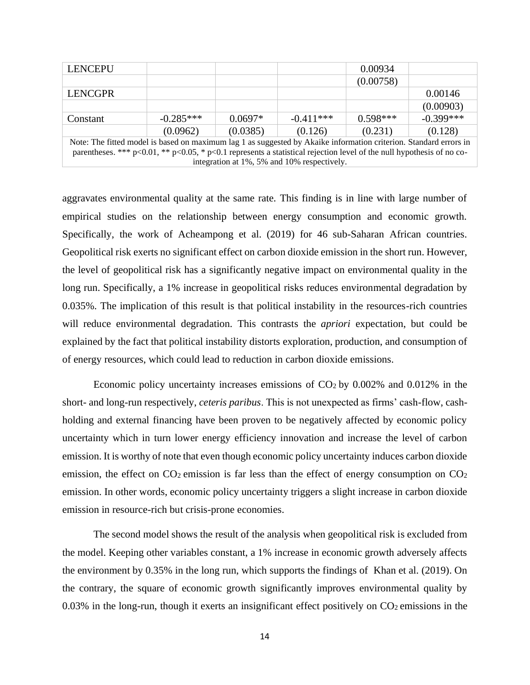| <b>LENCEPU</b>                                                                                                                |             |           |                                             | 0.00934    |             |
|-------------------------------------------------------------------------------------------------------------------------------|-------------|-----------|---------------------------------------------|------------|-------------|
|                                                                                                                               |             |           |                                             | (0.00758)  |             |
| <b>LENCGPR</b>                                                                                                                |             |           |                                             |            | 0.00146     |
|                                                                                                                               |             |           |                                             |            | (0.00903)   |
| Constant                                                                                                                      | $-0.285***$ | $0.0697*$ | $-0.411***$                                 | $0.598***$ | $-0.399***$ |
|                                                                                                                               | (0.0962)    | (0.0385)  | (0.126)                                     | (0.231)    | (0.128)     |
| Note: The fitted model is based on maximum lag 1 as suggested by Akaike information criterion. Standard errors in             |             |           |                                             |            |             |
| parentheses. *** $p<0.01$ , ** $p<0.05$ , * $p<0.1$ represents a statistical rejection level of the null hypothesis of no co- |             |           |                                             |            |             |
|                                                                                                                               |             |           | integration at 1%, 5% and 10% respectively. |            |             |

aggravates environmental quality at the same rate. This finding is in line with large number of empirical studies on the relationship between energy consumption and economic growth. Specifically, the work of Acheampong et al. (2019) for 46 sub-Saharan African countries. Geopolitical risk exerts no significant effect on carbon dioxide emission in the short run. However, the level of geopolitical risk has a significantly negative impact on environmental quality in the long run. Specifically, a 1% increase in geopolitical risks reduces environmental degradation by 0.035%. The implication of this result is that political instability in the resources-rich countries will reduce environmental degradation. This contrasts the *apriori* expectation, but could be explained by the fact that political instability distorts exploration, production, and consumption of of energy resources, which could lead to reduction in carbon dioxide emissions.

Economic policy uncertainty increases emissions of  $CO<sub>2</sub>$  by 0.002% and 0.012% in the short- and long-run respectively, *ceteris paribus*. This is not unexpected as firms' cash-flow, cashholding and external financing have been proven to be negatively affected by economic policy uncertainty which in turn lower energy efficiency innovation and increase the level of carbon emission. It is worthy of note that even though economic policy uncertainty induces carbon dioxide emission, the effect on  $CO<sub>2</sub>$  emission is far less than the effect of energy consumption on  $CO<sub>2</sub>$ emission. In other words, economic policy uncertainty triggers a slight increase in carbon dioxide emission in resource-rich but crisis-prone economies.

The second model shows the result of the analysis when geopolitical risk is excluded from the model. Keeping other variables constant, a 1% increase in economic growth adversely affects the environment by 0.35% in the long run, which supports the findings of Khan et al. (2019). On the contrary, the square of economic growth significantly improves environmental quality by  $0.03\%$  in the long-run, though it exerts an insignificant effect positively on  $CO<sub>2</sub>$  emissions in the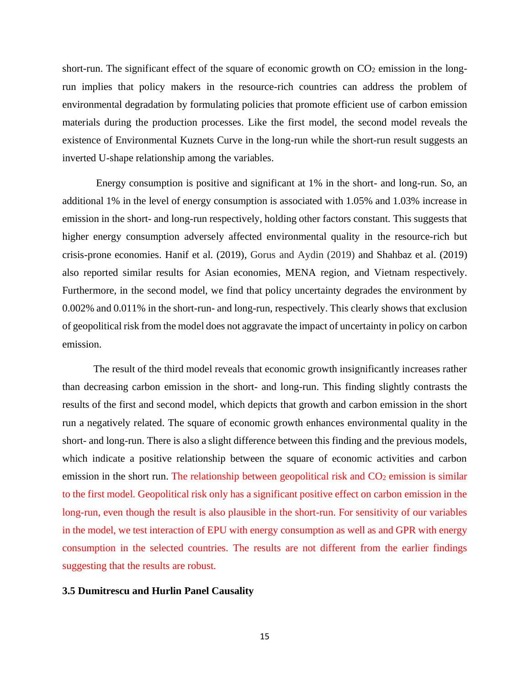short-run. The significant effect of the square of economic growth on  $CO<sub>2</sub>$  emission in the longrun implies that policy makers in the resource-rich countries can address the problem of environmental degradation by formulating policies that promote efficient use of carbon emission materials during the production processes. Like the first model, the second model reveals the existence of Environmental Kuznets Curve in the long-run while the short-run result suggests an inverted U-shape relationship among the variables.

Energy consumption is positive and significant at 1% in the short- and long-run. So, an additional 1% in the level of energy consumption is associated with 1.05% and 1.03% increase in emission in the short- and long-run respectively, holding other factors constant. This suggests that higher energy consumption adversely affected environmental quality in the resource-rich but crisis-prone economies. Hanif et al. (2019), Gorus and Aydin (2019) and Shahbaz et al. (2019) also reported similar results for Asian economies, MENA region, and Vietnam respectively. Furthermore, in the second model, we find that policy uncertainty degrades the environment by 0.002% and 0.011% in the short-run- and long-run, respectively. This clearly shows that exclusion of geopolitical risk from the model does not aggravate the impact of uncertainty in policy on carbon emission.

The result of the third model reveals that economic growth insignificantly increases rather than decreasing carbon emission in the short- and long-run. This finding slightly contrasts the results of the first and second model, which depicts that growth and carbon emission in the short run a negatively related. The square of economic growth enhances environmental quality in the short- and long-run. There is also a slight difference between this finding and the previous models, which indicate a positive relationship between the square of economic activities and carbon emission in the short run. The relationship between geopolitical risk and CO<sub>2</sub> emission is similar to the first model. Geopolitical risk only has a significant positive effect on carbon emission in the long-run, even though the result is also plausible in the short-run. For sensitivity of our variables in the model, we test interaction of EPU with energy consumption as well as and GPR with energy consumption in the selected countries. The results are not different from the earlier findings suggesting that the results are robust.

### **3.5 Dumitrescu and Hurlin Panel Causality**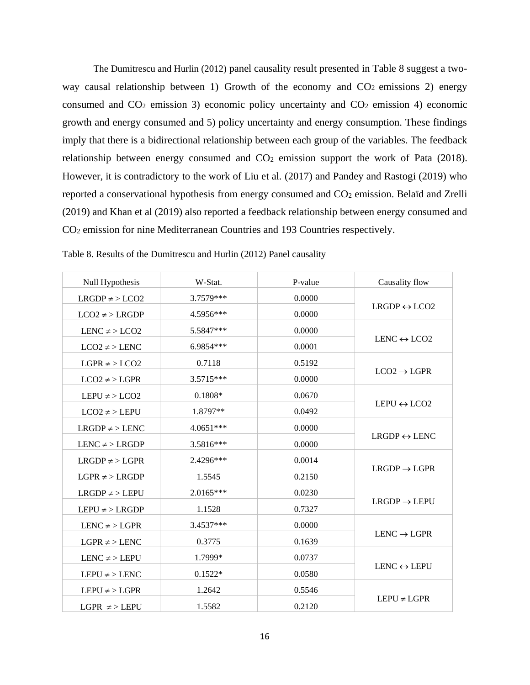The Dumitrescu and Hurlin (2012) panel causality result presented in Table 8 suggest a twoway causal relationship between 1) Growth of the economy and  $CO<sub>2</sub>$  emissions 2) energy consumed and  $CO<sub>2</sub>$  emission 3) economic policy uncertainty and  $CO<sub>2</sub>$  emission 4) economic growth and energy consumed and 5) policy uncertainty and energy consumption. These findings imply that there is a bidirectional relationship between each group of the variables. The feedback relationship between energy consumed and  $CO<sub>2</sub>$  emission support the work of Pata (2018). However, it is contradictory to the work of Liu et al. (2017) and Pandey and Rastogi (2019) who reported a conservational hypothesis from energy consumed and CO<sub>2</sub> emission. Belaïd and Zrelli (2019) and Khan et al (2019) also reported a feedback relationship between energy consumed and CO<sup>2</sup> emission for nine Mediterranean Countries and 193 Countries respectively.

| Null Hypothesis       | W-Stat.     | P-value | Causality flow               |
|-----------------------|-------------|---------|------------------------------|
| $LRGDP \neq$ > $LCO2$ | 3.7579***   | 0.0000  |                              |
| $LCO2 \neq$ > LRGDP   | 4.5956***   | 0.0000  | $LRGDP \leftrightarrow LCO2$ |
| LENC $\neq$ > LCO2    | 5.5847***   | 0.0000  |                              |
| $LCO2 \neq$ > LENC    | 6.9854***   | 0.0001  | LENC $\leftrightarrow$ LCO2  |
| $LGPR \neq$ > $LCO2$  | 0.7118      | 0.5192  |                              |
| $LCO2 \neq$ > LGPR    | 3.5715***   | 0.0000  | $LCO2 \rightarrow LGPR$      |
| $LEPU \neq > LCO2$    | $0.1808*$   | 0.0670  |                              |
| $LCO2 \neq$ > LEPU    | 1.8797**    | 0.0492  | $LEPU \leftrightarrow LCO2$  |
| $LRGDP \neq$ > LENC   | $4.0651***$ | 0.0000  |                              |
| $LENC \neq$ > $LRGDP$ | 3.5816***   | 0.0000  | $LRGDP \leftrightarrow LENC$ |
| $LRGDP \neq$ > LGPR   | 2.4296***   | 0.0014  |                              |
| $LGPR \neq$ > $LRGDP$ | 1.5545      | 0.2150  | $LRGDP \rightarrow LGPR$     |
| $LRGDP \neq$ > LEPU   | $2.0165***$ | 0.0230  |                              |
| $LEPU \neq$ > $LRGDP$ | 1.1528      | 0.7327  | $LRGDP \rightarrow LEPU$     |
| LENC $\neq$ > LGPR    | 3.4537***   | 0.0000  |                              |
| $LGPR \neq$ > LENC    | 0.3775      | 0.1639  | $LENC \rightarrow LGPR$      |
| $LENC \neq$ > $LEPU$  | 1.7999*     | 0.0737  |                              |
| $LEPU \neq > LENC$    | $0.1522*$   | 0.0580  | LENC $\leftrightarrow$ LEPU  |
| LEPU $\neq$ > LGPR    | 1.2642      | 0.5546  |                              |
| $LGPR \neq$ > LEPU    | 1.5582      | 0.2120  | $LEPU \neq LGPR$             |

Table 8. Results of the Dumitrescu and Hurlin (2012) Panel causality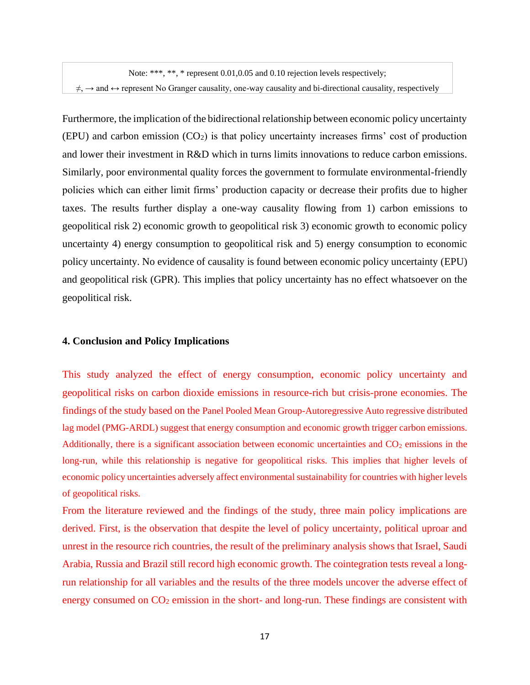Note: \*\*\*, \*\*, \* represent  $0.01,0.05$  and  $0.10$  rejection levels respectively;  $\neq$ ,  $\rightarrow$  and  $\leftrightarrow$  represent No Granger causality, one-way causality and bi-directional causality, respectively

Furthermore, the implication of the bidirectional relationship between economic policy uncertainty (EPU) and carbon emission (CO2) is that policy uncertainty increases firms' cost of production and lower their investment in R&D which in turns limits innovations to reduce carbon emissions. Similarly, poor environmental quality forces the government to formulate environmental-friendly policies which can either limit firms' production capacity or decrease their profits due to higher taxes. The results further display a one-way causality flowing from 1) carbon emissions to geopolitical risk 2) economic growth to geopolitical risk 3) economic growth to economic policy uncertainty 4) energy consumption to geopolitical risk and 5) energy consumption to economic policy uncertainty. No evidence of causality is found between economic policy uncertainty (EPU) and geopolitical risk (GPR). This implies that policy uncertainty has no effect whatsoever on the geopolitical risk.

#### **4. Conclusion and Policy Implications**

This study analyzed the effect of energy consumption, economic policy uncertainty and geopolitical risks on carbon dioxide emissions in resource-rich but crisis-prone economies. The findings of the study based on the Panel Pooled Mean Group-Autoregressive Auto regressive distributed lag model (PMG-ARDL) suggest that energy consumption and economic growth trigger carbon emissions. Additionally, there is a significant association between economic uncertainties and  $CO<sub>2</sub>$  emissions in the long-run, while this relationship is negative for geopolitical risks. This implies that higher levels of economic policy uncertainties adversely affect environmental sustainability for countries with higher levels of geopolitical risks.

From the literature reviewed and the findings of the study, three main policy implications are derived. First, is the observation that despite the level of policy uncertainty, political uproar and unrest in the resource rich countries, the result of the preliminary analysis shows that Israel, Saudi Arabia, Russia and Brazil still record high economic growth. The cointegration tests reveal a longrun relationship for all variables and the results of the three models uncover the adverse effect of energy consumed on CO<sup>2</sup> emission in the short- and long-run. These findings are consistent with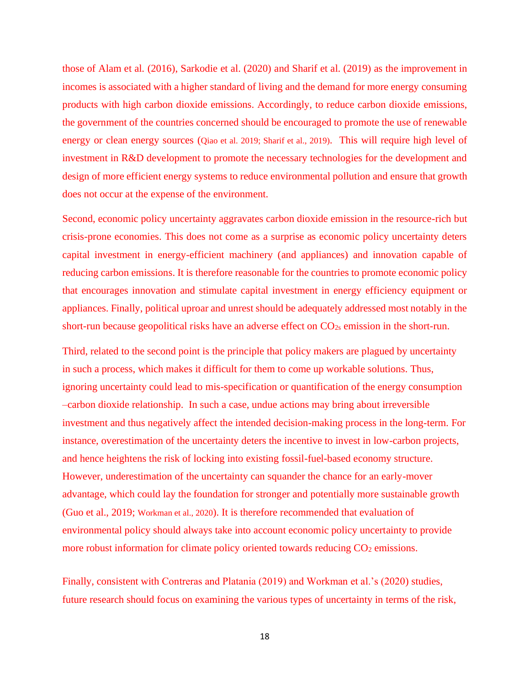those of Alam et al. (2016), Sarkodie et al. (2020) and Sharif et al. (2019) as the improvement in incomes is associated with a higher standard of living and the demand for more energy consuming products with high carbon dioxide emissions. Accordingly, to reduce carbon dioxide emissions, the government of the countries concerned should be encouraged to promote the use of renewable energy or clean energy sources (Qiao et al. 2019; Sharif et al., 2019). This will require high level of investment in R&D development to promote the necessary technologies for the development and design of more efficient energy systems to reduce environmental pollution and ensure that growth does not occur at the expense of the environment.

Second, economic policy uncertainty aggravates carbon dioxide emission in the resource-rich but crisis-prone economies. This does not come as a surprise as economic policy uncertainty deters capital investment in energy-efficient machinery (and appliances) and innovation capable of reducing carbon emissions. It is therefore reasonable for the countries to promote economic policy that encourages innovation and stimulate capital investment in energy efficiency equipment or appliances. Finally, political uproar and unrest should be adequately addressed most notably in the short-run because geopolitical risks have an adverse effect on  $CO<sub>2s</sub>$  emission in the short-run.

Third, related to the second point is the principle that policy makers are plagued by uncertainty in such a process, which makes it difficult for them to come up workable solutions. Thus, ignoring uncertainty could lead to mis-specification or quantification of the energy consumption –carbon dioxide relationship. In such a case, undue actions may bring about irreversible investment and thus negatively affect the intended decision-making process in the long-term. For instance, overestimation of the uncertainty deters the incentive to invest in low-carbon projects, and hence heightens the risk of locking into existing fossil-fuel-based economy structure. However, underestimation of the uncertainty can squander the chance for an early-mover advantage, which could lay the foundation for stronger and potentially more sustainable growth (Guo et al., 2019; Workman et al., 2020). It is therefore recommended that evaluation of environmental policy should always take into account economic policy uncertainty to provide more robust information for climate policy oriented towards reducing  $CO<sub>2</sub>$  emissions.

Finally, consistent with Contreras and Platania (2019) and Workman et al.'s (2020) studies, future research should focus on examining the various types of uncertainty in terms of the risk,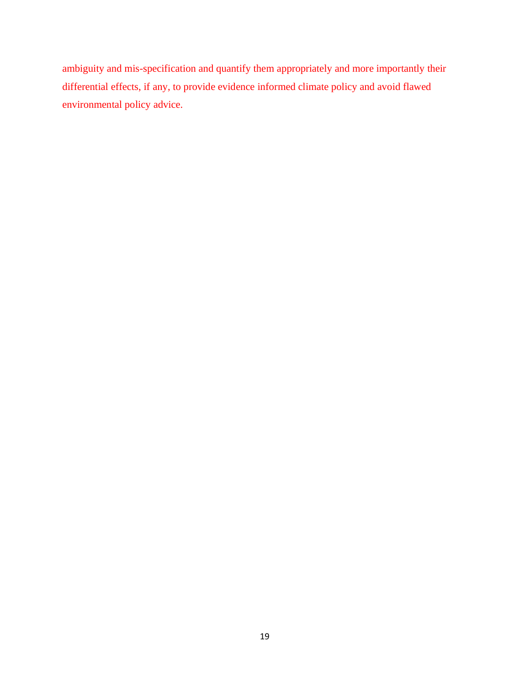ambiguity and mis-specification and quantify them appropriately and more importantly their differential effects, if any, to provide evidence informed climate policy and avoid flawed environmental policy advice.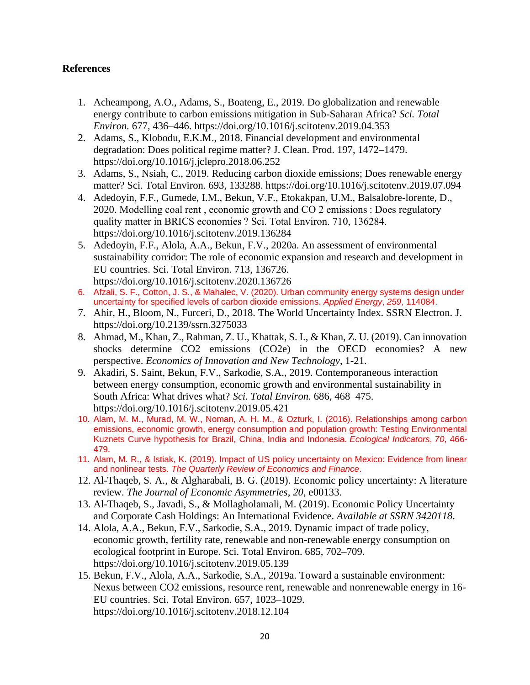## **References**

- 1. Acheampong, A.O., Adams, S., Boateng, E., 2019. Do globalization and renewable energy contribute to carbon emissions mitigation in Sub-Saharan Africa? *Sci. Total Environ.* 677, 436–446. https://doi.org/10.1016/j.scitotenv.2019.04.353
- 2. Adams, S., Klobodu, E.K.M., 2018. Financial development and environmental degradation: Does political regime matter? J. Clean. Prod. 197, 1472–1479. https://doi.org/10.1016/j.jclepro.2018.06.252
- 3. Adams, S., Nsiah, C., 2019. Reducing carbon dioxide emissions; Does renewable energy matter? Sci. Total Environ. 693, 133288. https://doi.org/10.1016/j.scitotenv.2019.07.094
- 4. Adedoyin, F.F., Gumede, I.M., Bekun, V.F., Etokakpan, U.M., Balsalobre-lorente, D., 2020. Modelling coal rent , economic growth and CO 2 emissions : Does regulatory quality matter in BRICS economies ? Sci. Total Environ. 710, 136284. https://doi.org/10.1016/j.scitotenv.2019.136284
- 5. Adedoyin, F.F., Alola, A.A., Bekun, F.V., 2020a. An assessment of environmental sustainability corridor: The role of economic expansion and research and development in EU countries. Sci. Total Environ. 713, 136726. https://doi.org/10.1016/j.scitotenv.2020.136726
- 6. Afzali, S. F., Cotton, J. S., & Mahalec, V. (2020). Urban community energy systems design under uncertainty for specified levels of carbon dioxide emissions. *Applied Energy*, *259*, 114084.
- 7. Ahir, H., Bloom, N., Furceri, D., 2018. The World Uncertainty Index. SSRN Electron. J. https://doi.org/10.2139/ssrn.3275033
- 8. Ahmad, M., Khan, Z., Rahman, Z. U., Khattak, S. I., & Khan, Z. U. (2019). Can innovation shocks determine CO2 emissions (CO2e) in the OECD economies? A new perspective. *Economics of Innovation and New Technology*, 1-21.
- 9. Akadiri, S. Saint, Bekun, F.V., Sarkodie, S.A., 2019. Contemporaneous interaction between energy consumption, economic growth and environmental sustainability in South Africa: What drives what? *Sci. Total Environ.* 686, 468–475. https://doi.org/10.1016/j.scitotenv.2019.05.421
- 10. Alam, M. M., Murad, M. W., Noman, A. H. M., & Ozturk, I. (2016). Relationships among carbon emissions, economic growth, energy consumption and population growth: Testing Environmental Kuznets Curve hypothesis for Brazil, China, India and Indonesia. *Ecological Indicators*, *70*, 466- 479.
- 11. Alam, M. R., & Istiak, K. (2019). Impact of US policy uncertainty on Mexico: Evidence from linear and nonlinear tests. *The Quarterly Review of Economics and Finance*.
- 12. Al-Thaqeb, S. A., & Algharabali, B. G. (2019). Economic policy uncertainty: A literature review. *The Journal of Economic Asymmetries*, *20*, e00133.
- 13. Al-Thaqeb, S., Javadi, S., & Mollagholamali, M. (2019). Economic Policy Uncertainty and Corporate Cash Holdings: An International Evidence. *Available at SSRN 3420118*.
- 14. Alola, A.A., Bekun, F.V., Sarkodie, S.A., 2019. Dynamic impact of trade policy, economic growth, fertility rate, renewable and non-renewable energy consumption on ecological footprint in Europe. Sci. Total Environ. 685, 702–709. https://doi.org/10.1016/j.scitotenv.2019.05.139
- 15. Bekun, F.V., Alola, A.A., Sarkodie, S.A., 2019a. Toward a sustainable environment: Nexus between CO2 emissions, resource rent, renewable and nonrenewable energy in 16- EU countries. Sci. Total Environ. 657, 1023–1029. https://doi.org/10.1016/j.scitotenv.2018.12.104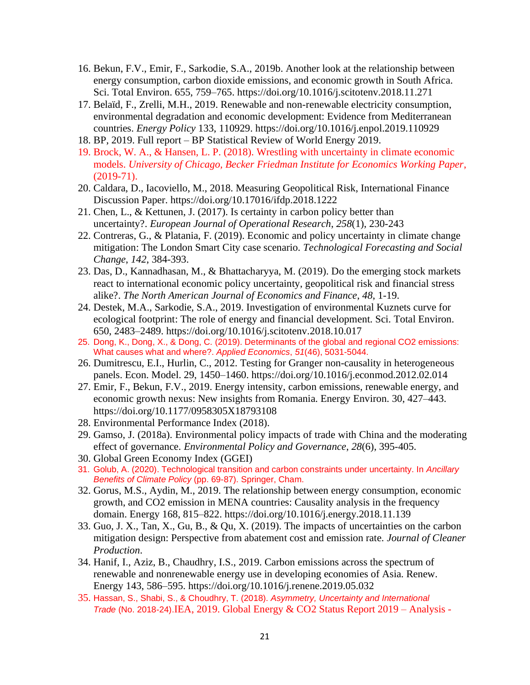- 16. Bekun, F.V., Emir, F., Sarkodie, S.A., 2019b. Another look at the relationship between energy consumption, carbon dioxide emissions, and economic growth in South Africa. Sci. Total Environ. 655, 759–765. https://doi.org/10.1016/j.scitotenv.2018.11.271
- 17. Belaïd, F., Zrelli, M.H., 2019. Renewable and non-renewable electricity consumption, environmental degradation and economic development: Evidence from Mediterranean countries. *Energy Policy* 133, 110929. https://doi.org/10.1016/j.enpol.2019.110929
- 18. BP, 2019. Full report BP Statistical Review of World Energy 2019.
- 19. Brock, W. A., & Hansen, L. P. (2018). Wrestling with uncertainty in climate economic models. *University of Chicago, Becker Friedman Institute for Economics Working Paper*, (2019-71).
- 20. Caldara, D., Iacoviello, M., 2018. Measuring Geopolitical Risk, International Finance Discussion Paper. https://doi.org/10.17016/ifdp.2018.1222
- 21. Chen, L., & Kettunen, J. (2017). Is certainty in carbon policy better than uncertainty?. *European Journal of Operational Research*, *258*(1), 230-243
- 22. Contreras, G., & Platania, F. (2019). Economic and policy uncertainty in climate change mitigation: The London Smart City case scenario. *Technological Forecasting and Social Change*, *142*, 384-393.
- 23. Das, D., Kannadhasan, M., & Bhattacharyya, M. (2019). Do the emerging stock markets react to international economic policy uncertainty, geopolitical risk and financial stress alike?. *The North American Journal of Economics and Finance*, *48*, 1-19.
- 24. Destek, M.A., Sarkodie, S.A., 2019. Investigation of environmental Kuznets curve for ecological footprint: The role of energy and financial development. Sci. Total Environ. 650, 2483–2489. https://doi.org/10.1016/j.scitotenv.2018.10.017
- 25. Dong, K., Dong, X., & Dong, C. (2019). Determinants of the global and regional CO2 emissions: What causes what and where?. *Applied Economics*, *51*(46), 5031-5044.
- 26. Dumitrescu, E.I., Hurlin, C., 2012. Testing for Granger non-causality in heterogeneous panels. Econ. Model. 29, 1450–1460. https://doi.org/10.1016/j.econmod.2012.02.014
- 27. Emir, F., Bekun, F.V., 2019. Energy intensity, carbon emissions, renewable energy, and economic growth nexus: New insights from Romania. Energy Environ. 30, 427–443. https://doi.org/10.1177/0958305X18793108
- 28. Environmental Performance Index (2018).
- 29. Gamso, J. (2018a). Environmental policy impacts of trade with China and the moderating effect of governance. *Environmental Policy and Governance*, *28*(6), 395-405.
- 30. Global Green Economy Index (GGEI)
- 31. Golub, A. (2020). Technological transition and carbon constraints under uncertainty. In *Ancillary Benefits of Climate Policy* (pp. 69-87). Springer, Cham.
- 32. Gorus, M.S., Aydin, M., 2019. The relationship between energy consumption, economic growth, and CO2 emission in MENA countries: Causality analysis in the frequency domain. Energy 168, 815–822. https://doi.org/10.1016/j.energy.2018.11.139
- 33. Guo, J. X., Tan, X., Gu, B., & Qu, X. (2019). The impacts of uncertainties on the carbon mitigation design: Perspective from abatement cost and emission rate. *Journal of Cleaner Production*.
- 34. Hanif, I., Aziz, B., Chaudhry, I.S., 2019. Carbon emissions across the spectrum of renewable and nonrenewable energy use in developing economies of Asia. Renew. Energy 143, 586–595. https://doi.org/10.1016/j.renene.2019.05.032
- 35. Hassan, S., Shabi, S., & Choudhry, T. (2018). *Asymmetry, Uncertainty and International Trade* (No. 2018-24).IEA, 2019. Global Energy & CO2 Status Report 2019 – Analysis -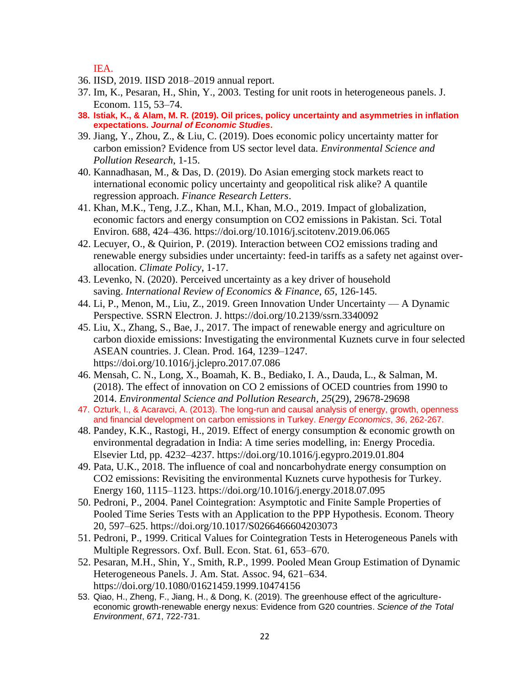IEA.

- 36. IISD, 2019. IISD 2018–2019 annual report.
- 37. Im, K., Pesaran, H., Shin, Y., 2003. Testing for unit roots in heterogeneous panels. J. Econom. 115, 53–74.
- **38. Istiak, K., & Alam, M. R. (2019). Oil prices, policy uncertainty and asymmetries in inflation expectations.** *Journal of Economic Studies***.**
- 39. Jiang, Y., Zhou, Z., & Liu, C. (2019). Does economic policy uncertainty matter for carbon emission? Evidence from US sector level data. *Environmental Science and Pollution Research*, 1-15.
- 40. Kannadhasan, M., & Das, D. (2019). Do Asian emerging stock markets react to international economic policy uncertainty and geopolitical risk alike? A quantile regression approach. *Finance Research Letters*.
- 41. Khan, M.K., Teng, J.Z., Khan, M.I., Khan, M.O., 2019. Impact of globalization, economic factors and energy consumption on CO2 emissions in Pakistan. Sci. Total Environ. 688, 424–436. https://doi.org/10.1016/j.scitotenv.2019.06.065
- 42. Lecuyer, O., & Quirion, P. (2019). Interaction between CO2 emissions trading and renewable energy subsidies under uncertainty: feed-in tariffs as a safety net against overallocation. *Climate Policy*, 1-17.
- 43. Levenko, N. (2020). Perceived uncertainty as a key driver of household saving. *International Review of Economics & Finance*, *65*, 126-145.
- 44. Li, P., Menon, M., Liu, Z., 2019. Green Innovation Under Uncertainty A Dynamic Perspective. SSRN Electron. J. https://doi.org/10.2139/ssrn.3340092
- 45. Liu, X., Zhang, S., Bae, J., 2017. The impact of renewable energy and agriculture on carbon dioxide emissions: Investigating the environmental Kuznets curve in four selected ASEAN countries. J. Clean. Prod. 164, 1239–1247. https://doi.org/10.1016/j.jclepro.2017.07.086
- 46. Mensah, C. N., Long, X., Boamah, K. B., Bediako, I. A., Dauda, L., & Salman, M. (2018). The effect of innovation on CO 2 emissions of OCED countries from 1990 to 2014. *Environmental Science and Pollution Research*, *25*(29), 29678-29698
- 47. Ozturk, I., & Acaravci, A. (2013). The long-run and causal analysis of energy, growth, openness and financial development on carbon emissions in Turkey. *Energy Economics*, *36*, 262-267.
- 48. Pandey, K.K., Rastogi, H., 2019. Effect of energy consumption & economic growth on environmental degradation in India: A time series modelling, in: Energy Procedia. Elsevier Ltd, pp. 4232–4237. https://doi.org/10.1016/j.egypro.2019.01.804
- 49. Pata, U.K., 2018. The influence of coal and noncarbohydrate energy consumption on CO2 emissions: Revisiting the environmental Kuznets curve hypothesis for Turkey. Energy 160, 1115–1123. https://doi.org/10.1016/j.energy.2018.07.095
- 50. Pedroni, P., 2004. Panel Cointegration: Asymptotic and Finite Sample Properties of Pooled Time Series Tests with an Application to the PPP Hypothesis. Econom. Theory 20, 597–625. https://doi.org/10.1017/S0266466604203073
- 51. Pedroni, P., 1999. Critical Values for Cointegration Tests in Heterogeneous Panels with Multiple Regressors. Oxf. Bull. Econ. Stat. 61, 653–670.
- 52. Pesaran, M.H., Shin, Y., Smith, R.P., 1999. Pooled Mean Group Estimation of Dynamic Heterogeneous Panels. J. Am. Stat. Assoc. 94, 621–634. https://doi.org/10.1080/01621459.1999.10474156
- 53. Qiao, H., Zheng, F., Jiang, H., & Dong, K. (2019). The greenhouse effect of the agricultureeconomic growth-renewable energy nexus: Evidence from G20 countries. *Science of the Total Environment*, *671*, 722-731.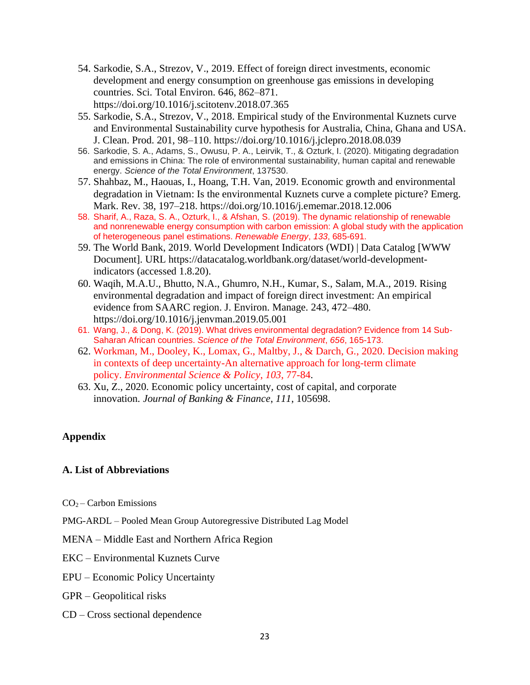- 54. Sarkodie, S.A., Strezov, V., 2019. Effect of foreign direct investments, economic development and energy consumption on greenhouse gas emissions in developing countries. Sci. Total Environ. 646, 862–871. https://doi.org/10.1016/j.scitotenv.2018.07.365
- 55. Sarkodie, S.A., Strezov, V., 2018. Empirical study of the Environmental Kuznets curve and Environmental Sustainability curve hypothesis for Australia, China, Ghana and USA. J. Clean. Prod. 201, 98–110. https://doi.org/10.1016/j.jclepro.2018.08.039
- 56. Sarkodie, S. A., Adams, S., Owusu, P. A., Leirvik, T., & Ozturk, I. (2020). Mitigating degradation and emissions in China: The role of environmental sustainability, human capital and renewable energy. *Science of the Total Environment*, 137530.
- 57. Shahbaz, M., Haouas, I., Hoang, T.H. Van, 2019. Economic growth and environmental degradation in Vietnam: Is the environmental Kuznets curve a complete picture? Emerg. Mark. Rev. 38, 197–218. https://doi.org/10.1016/j.ememar.2018.12.006
- 58. Sharif, A., Raza, S. A., Ozturk, I., & Afshan, S. (2019). The dynamic relationship of renewable and nonrenewable energy consumption with carbon emission: A global study with the application of heterogeneous panel estimations. *Renewable Energy*, *133*, 685-691.
- 59. The World Bank, 2019. World Development Indicators (WDI) | Data Catalog [WWW Document]. URL https://datacatalog.worldbank.org/dataset/world-developmentindicators (accessed 1.8.20).
- 60. Waqih, M.A.U., Bhutto, N.A., Ghumro, N.H., Kumar, S., Salam, M.A., 2019. Rising environmental degradation and impact of foreign direct investment: An empirical evidence from SAARC region. J. Environ. Manage. 243, 472–480. https://doi.org/10.1016/j.jenvman.2019.05.001
- 61. Wang, J., & Dong, K. (2019). What drives environmental degradation? Evidence from 14 Sub-Saharan African countries. *Science of the Total Environment*, *656*, 165-173.
- 62. Workman, M., Dooley, K., Lomax, G., Maltby, J., & Darch, G., 2020. Decision making in contexts of deep uncertainty-An alternative approach for long-term climate policy. *Environmental Science & Policy*, *103*, 77-84.
- 63. Xu, Z., 2020. Economic policy uncertainty, cost of capital, and corporate innovation. *Journal of Banking & Finance*, *111*, 105698.

## **Appendix**

## **A. List of Abbreviations**

- $CO<sub>2</sub> Carbon Emissions$
- PMG-ARDL Pooled Mean Group Autoregressive Distributed Lag Model

## MENA – Middle East and Northern Africa Region

## EKC – Environmental Kuznets Curve

- EPU Economic Policy Uncertainty
- GPR Geopolitical risks
- CD Cross sectional dependence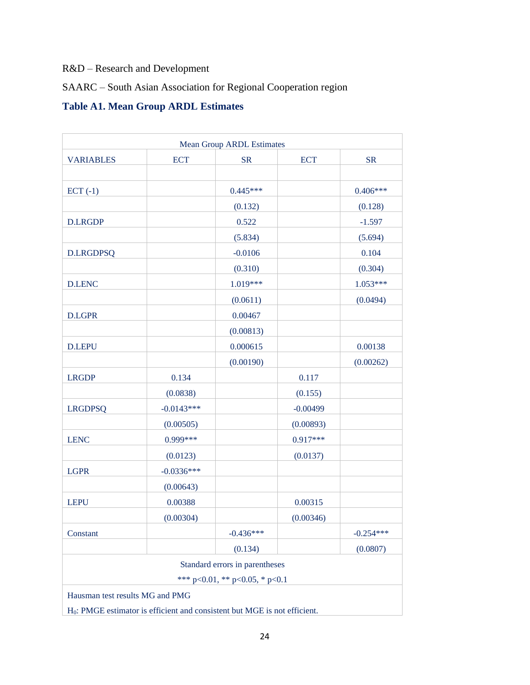# R&D – Research and Development

# SAARC – South Asian Association for Regional Cooperation region

# **Table A1. Mean Group ARDL Estimates**

| $ECT (-1)$<br><b>D.LRGDP</b><br><b>D.LRGDPSQ</b> |              | $0.445***$<br>(0.132)<br>0.522<br>(5.834)                            |            | $0.406***$<br>(0.128)<br>$-1.597$ |
|--------------------------------------------------|--------------|----------------------------------------------------------------------|------------|-----------------------------------|
|                                                  |              |                                                                      |            |                                   |
|                                                  |              |                                                                      |            |                                   |
|                                                  |              |                                                                      |            |                                   |
|                                                  |              |                                                                      |            | (5.694)                           |
|                                                  |              | $-0.0106$                                                            |            | 0.104                             |
|                                                  |              | (0.310)                                                              |            | (0.304)                           |
| <b>D.LENC</b>                                    |              | 1.019***                                                             |            | $1.053***$                        |
|                                                  |              | (0.0611)                                                             |            | (0.0494)                          |
| <b>D.LGPR</b>                                    |              | 0.00467                                                              |            |                                   |
|                                                  |              | (0.00813)                                                            |            |                                   |
| <b>D.LEPU</b>                                    |              | 0.000615                                                             |            | 0.00138                           |
|                                                  |              | (0.00190)                                                            |            | (0.00262)                         |
| <b>LRGDP</b>                                     | 0.134        |                                                                      | 0.117      |                                   |
|                                                  | (0.0838)     |                                                                      | (0.155)    |                                   |
| <b>LRGDPSQ</b>                                   | $-0.0143***$ |                                                                      | $-0.00499$ |                                   |
|                                                  | (0.00505)    |                                                                      | (0.00893)  |                                   |
| <b>LENC</b>                                      | 0.999***     |                                                                      | $0.917***$ |                                   |
|                                                  | (0.0123)     |                                                                      | (0.0137)   |                                   |
| <b>LGPR</b>                                      | $-0.0336***$ |                                                                      |            |                                   |
|                                                  | (0.00643)    |                                                                      |            |                                   |
| <b>LEPU</b>                                      | 0.00388      |                                                                      | 0.00315    |                                   |
|                                                  | (0.00304)    |                                                                      | (0.00346)  |                                   |
| Constant                                         |              | $-0.436***$                                                          |            | $-0.254***$                       |
|                                                  |              | (0.134)                                                              |            | (0.0807)                          |
|                                                  | ***          | Standard errors in parentheses<br>$p<0.01$ , ** $p<0.05$ , * $p<0.1$ |            |                                   |